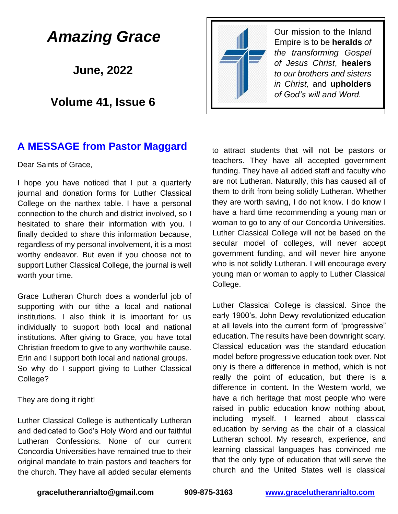## *Amazing Grace*

**June, 2022**

#### **Volume 41, Issue 6**

#### **A MESSAGE from Pastor Maggard**

Dear Saints of Grace,

I hope you have noticed that I put a quarterly journal and donation forms for Luther Classical College on the narthex table. I have a personal connection to the church and district involved, so I hesitated to share their information with you. I finally decided to share this information because, regardless of my personal involvement, it is a most worthy endeavor. But even if you choose not to support Luther Classical College, the journal is well worth your time.

Grace Lutheran Church does a wonderful job of supporting with our tithe a local and national institutions. I also think it is important for us individually to support both local and national institutions. After giving to Grace, you have total Christian freedom to give to any worthwhile cause. Erin and I support both local and national groups. So why do I support giving to Luther Classical College?

They are doing it right!

Luther Classical College is authentically Lutheran and dedicated to God's Holy Word and our faithful Lutheran Confessions. None of our current Concordia Universities have remained true to their original mandate to train pastors and teachers for the church. They have all added secular elements



Our mission to the Inland Empire is to be **heralds** *of the transforming Gospel of Jesus Christ*, **healers** *to our brothers and sisters in Christ,* and **upholders** *of God's will and Word.* 

to attract students that will not be pastors or teachers. They have all accepted government funding. They have all added staff and faculty who are not Lutheran. Naturally, this has caused all of them to drift from being solidly Lutheran. Whether they are worth saving, I do not know. I do know I have a hard time recommending a young man or woman to go to any of our Concordia Universities. Luther Classical College will not be based on the secular model of colleges, will never accept government funding, and will never hire anyone who is not solidly Lutheran. I will encourage every young man or woman to apply to Luther Classical College.

Luther Classical College is classical. Since the early 1900's, John Dewy revolutionized education at all levels into the current form of "progressive" education. The results have been downright scary. Classical education was the standard education model before progressive education took over. Not only is there a difference in method, which is not really the point of education, but there is a difference in content. In the Western world, we have a rich heritage that most people who were raised in public education know nothing about, including myself. I learned about classical education by serving as the chair of a classical Lutheran school. My research, experience, and learning classical languages has convinced me that the only type of education that will serve the church and the United States well is classical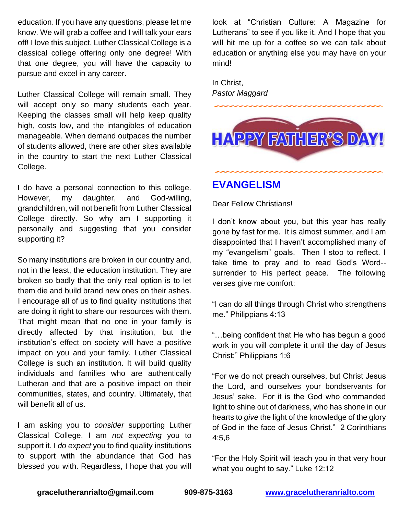education. If you have any questions, please let me know. We will grab a coffee and I will talk your ears off! I love this subject. Luther Classical College is a classical college offering only one degree! With that one degree, you will have the capacity to pursue and excel in any career.

Luther Classical College will remain small. They will accept only so many students each year. Keeping the classes small will help keep quality high, costs low, and the intangibles of education manageable. When demand outpaces the number of students allowed, there are other sites available in the country to start the next Luther Classical College.

I do have a personal connection to this college. However, my daughter, and God-willing, grandchildren, will not benefit from Luther Classical College directly. So why am I supporting it personally and suggesting that you consider supporting it?

So many institutions are broken in our country and, not in the least, the education institution. They are broken so badly that the only real option is to let them die and build brand new ones on their ashes. I encourage all of us to find quality institutions that are doing it right to share our resources with them. That might mean that no one in your family is directly affected by that institution, but the institution's effect on society will have a positive impact on you and your family. Luther Classical College is such an institution. It will build quality individuals and families who are authentically Lutheran and that are a positive impact on their communities, states, and country. Ultimately, that will benefit all of us.

I am asking you to *consider* supporting Luther Classical College. I am *not expecting* you to support it. I *do expect* you to find quality institutions to support with the abundance that God has blessed you with. Regardless, I hope that you will

look at "Christian Culture: A Magazine for Lutherans" to see if you like it. And I hope that you will hit me up for a coffee so we can talk about education or anything else you may have on your mind!

In Christ, *Pastor Maggard*



#### **EVANGELISM**

Dear Fellow Christians!

I don't know about you, but this year has really gone by fast for me. It is almost summer, and I am disappointed that I haven't accomplished many of my "evangelism" goals. Then I stop to reflect. I take time to pray and to read God's Word- surrender to His perfect peace. The following verses give me comfort:

"I can do all things through Christ who strengthens me." Philippians 4:13

"…being confident that He who has begun a good work in you will complete it until the day of Jesus Christ;" Philippians 1:6

"For we do not preach ourselves, but Christ Jesus the Lord, and ourselves your bondservants for Jesus' sake. For it is the God who commanded light to shine out of darkness, who has shone in our hearts to *give* the light of the knowledge of the glory of God in the face of Jesus Christ." 2 Corinthians 4:5,6

"For the Holy Spirit will teach you in that very hour what you ought to say." Luke 12:12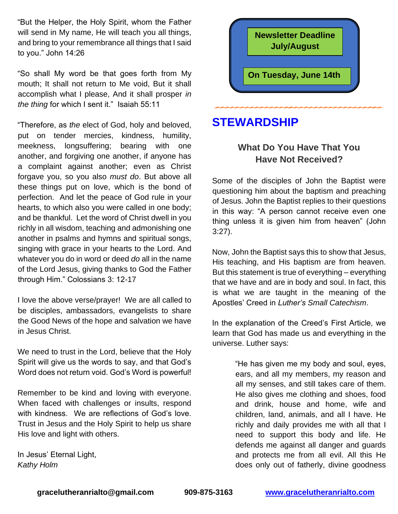"But the Helper, the Holy Spirit, whom the Father will send in My name, He will teach you all things, and bring to your remembrance all things that I said to you." John 14:26

"So shall My word be that goes forth from My mouth; It shall not return to Me void, But it shall accomplish what I please, And it shall prosper *in the thing* for which I sent it." Isaiah 55:11

"Therefore, as *the* elect of God, holy and beloved, put on tender mercies, kindness, humility, meekness, longsuffering; bearing with one another, and forgiving one another, if anyone has a complaint against another; even as Christ forgave you, so you also *must do*. But above all these things put on love, which is the bond of perfection. And let the peace of God rule in your hearts, to which also you were called in one body; and be thankful. Let the word of Christ dwell in you richly in all wisdom, teaching and admonishing one another in psalms and hymns and spiritual songs, singing with grace in your hearts to the Lord. And whatever you do in word or deed *do* all in the name of the Lord Jesus, giving thanks to God the Father through Him." Colossians 3: 12-17

I love the above verse/prayer! We are all called to be disciples, ambassadors, evangelists to share the Good News of the hope and salvation we have in Jesus Christ.

We need to trust in the Lord, believe that the Holy Spirit will give us the words to say, and that God's Word does not return void. God's Word is powerful!

Remember to be kind and loving with everyone. When faced with challenges or insults, respond with kindness. We are reflections of God's love. Trust in Jesus and the Holy Spirit to help us share His love and light with others.

In Jesus' Eternal Light, *Kathy Holm*



### **STEWARDSHIP**

#### **What Do You Have That You Have Not Received?**

Some of the disciples of John the Baptist were questioning him about the baptism and preaching of Jesus. John the Baptist replies to their questions in this way: "A person cannot receive even one thing unless it is given him from heaven" (John 3:27).

Now, John the Baptist says this to show that Jesus, His teaching, and His baptism are from heaven. But this statement is true of everything – everything that we have and are in body and soul. In fact, this is what we are taught in the meaning of the Apostles' Creed in *Luther's Small Catechism*.

In the explanation of the Creed's First Article, we learn that God has made us and everything in the universe. Luther says:

> "He has given me my body and soul, eyes, ears, and all my members, my reason and all my senses, and still takes care of them. He also gives me clothing and shoes, food and drink, house and home, wife and children, land, animals, and all I have. He richly and daily provides me with all that I need to support this body and life. He defends me against all danger and guards and protects me from all evil. All this He does only out of fatherly, divine goodness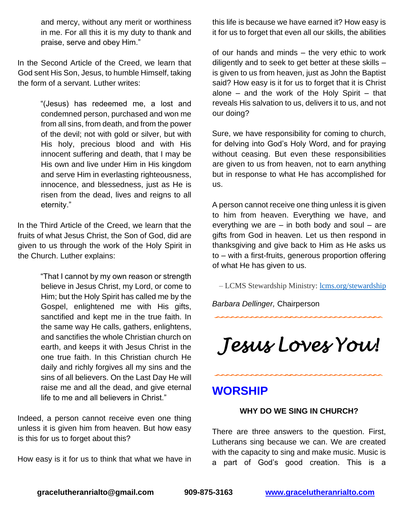and mercy, without any merit or worthiness in me. For all this it is my duty to thank and praise, serve and obey Him."

In the Second Article of the Creed, we learn that God sent His Son, Jesus, to humble Himself, taking the form of a servant. Luther writes:

> "(Jesus) has redeemed me, a lost and condemned person, purchased and won me from all sins, from death, and from the power of the devil; not with gold or silver, but with His holy, precious blood and with His innocent suffering and death, that I may be His own and live under Him in His kingdom and serve Him in everlasting righteousness, innocence, and blessedness, just as He is risen from the dead, lives and reigns to all eternity."

In the Third Article of the Creed, we learn that the fruits of what Jesus Christ, the Son of God, did are given to us through the work of the Holy Spirit in the Church. Luther explains:

> "That I cannot by my own reason or strength believe in Jesus Christ, my Lord, or come to Him; but the Holy Spirit has called me by the Gospel, enlightened me with His gifts, sanctified and kept me in the true faith. In the same way He calls, gathers, enlightens, and sanctifies the whole Christian church on earth, and keeps it with Jesus Christ in the one true faith. In this Christian church He daily and richly forgives all my sins and the sins of all believers. On the Last Day He will raise me and all the dead, and give eternal life to me and all believers in Christ."

Indeed, a person cannot receive even one thing unless it is given him from heaven. But how easy is this for us to forget about this?

How easy is it for us to think that what we have in

this life is because we have earned it? How easy is it for us to forget that even all our skills, the abilities

of our hands and minds – the very ethic to work diligently and to seek to get better at these skills – is given to us from heaven, just as John the Baptist said? How easy is it for us to forget that it is Christ alone – and the work of the Holy Spirit – that reveals His salvation to us, delivers it to us, and not our doing?

Sure, we have responsibility for coming to church, for delving into God's Holy Word, and for praying without ceasing. But even these responsibilities are given to us from heaven, not to earn anything but in response to what He has accomplished for us.

A person cannot receive one thing unless it is given to him from heaven. Everything we have, and everything we are  $-$  in both body and soul  $-$  are gifts from God in heaven. Let us then respond in thanksgiving and give back to Him as He asks us to – with a first-fruits, generous proportion offering of what He has given to us.

– LCMS Stewardship Ministry: [lcms.org/stewardship](https://www.lcms.org/how-we-serve/national/stewardship-ministry)

*Barbara Dellinger,* Chairperson

*Jesus Loves You!* 

#### **WORSHIP**

#### **WHY DO WE SING IN CHURCH?**

There are three answers to the question. First, Lutherans sing because we can. We are created with the capacity to sing and make music. Music is a part of God's good creation. This is a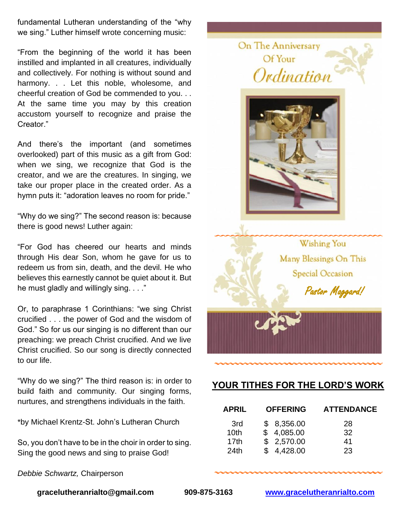fundamental Lutheran understanding of the "why we sing." Luther himself wrote concerning music:

"From the beginning of the world it has been instilled and implanted in all creatures, individually and collectively. For nothing is without sound and harmony. . . Let this noble, wholesome, and cheerful creation of God be commended to you. . . At the same time you may by this creation accustom yourself to recognize and praise the Creator."

And there's the important (and sometimes overlooked) part of this music as a gift from God: when we sing, we recognize that God is the creator, and we are the creatures. In singing, we take our proper place in the created order. As a hymn puts it: "adoration leaves no room for pride."

"Why do we sing?" The second reason is: because there is good news! Luther again:

"For God has cheered our hearts and minds through His dear Son, whom he gave for us to redeem us from sin, death, and the devil. He who believes this earnestly cannot be quiet about it. But he must gladly and willingly sing. . . ."

Or, to paraphrase 1 Corinthians: "we sing Christ crucified . . . the power of God and the wisdom of God." So for us our singing is no different than our preaching: we preach Christ crucified. And we live Christ crucified. So our song is directly connected to our life.

"Why do we sing?" The third reason is: in order to build faith and community. Our singing forms, nurtures, and strengthens individuals in the faith.

\*by Michael Krentz-St. John's Lutheran Church

So, you don't have to be in the choir in order to sing. Sing the good news and sing to praise God!

*Debbie Schwartz,* Chairperson



#### **YOUR TITHES FOR THE LORD'S WORK**

| <b>APRIL</b>     | <b>OFFERING</b> |            | <b>ATTENDANCE</b> |
|------------------|-----------------|------------|-------------------|
| 3rd              |                 | \$8,356.00 | 28                |
| 10 <sub>th</sub> |                 | \$4,085.00 | 32                |
| 17th             |                 | \$2,570.00 | 41                |
| 24 <sub>th</sub> |                 | \$4,428.00 | 23                |
|                  |                 |            |                   |

**gracelutheranrialto@gmail.com 909-875-3163 [www.gracelutheranrialto.com](http://www.gracelutheranrialto.com/)**